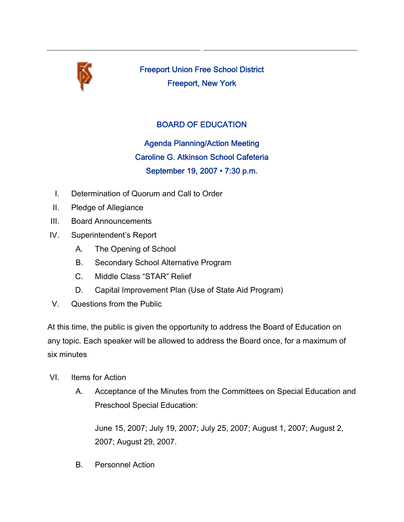

Freeport Union Free School District Freeport, New York

## BOARD OF EDUCATION

Agenda Planning/Action Meeting Caroline G. Atkinson School Cafeteria September 19, 2007 • 7:30 p.m.

- I. Determination of Quorum and Call to Order
- II. Pledge of Allegiance
- III. Board Announcements
- IV. Superintendent's Report
	- A. The Opening of School
	- B. Secondary School Alternative Program
	- C. Middle Class "STAR" Relief
	- D. Capital Improvement Plan (Use of State Aid Program)
- V. Questions from the Public

At this time, the public is given the opportunity to address the Board of Education on any topic. Each speaker will be allowed to address the Board once, for a maximum of six minutes

- VI. Items for Action
	- A. Acceptance of the Minutes from the Committees on Special Education and Preschool Special Education:

June 15, 2007; July 19, 2007; July 25, 2007; August 1, 2007; August 2, 2007; August 29, 2007.

B. Personnel Action